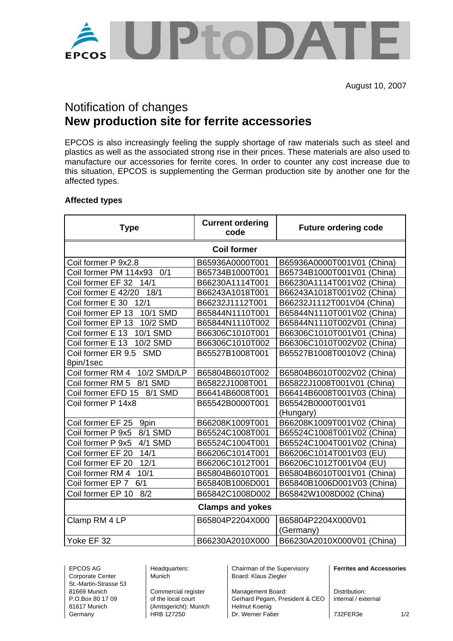

# Notification of changes **New production site for ferrite accessories**

EPCOS is also increasingly feeling the supply shortage of raw materials such as steel and plastics as well as the associated strong rise in their prices. These materials are also used to manufacture our accessories for ferrite cores. In order to counter any cost increase due to this situation, EPCOS is supplementing the German production site by another one for the affected types.

## **Affected types**

| <b>Type</b>                            | <b>Current ordering</b><br>code | <b>Future ordering code</b> |  |  |  |  |  |  |
|----------------------------------------|---------------------------------|-----------------------------|--|--|--|--|--|--|
| <b>Coil former</b>                     |                                 |                             |  |  |  |  |  |  |
| Coil former P 9x2.8                    | B65936A0000T001                 | B65936A0000T001V01 (China)  |  |  |  |  |  |  |
| Coil former PM 114x93<br>0/1           | B65734B1000T001                 | B65734B1000T001V01 (China)  |  |  |  |  |  |  |
| Coil former EF 32<br>14/1              | B66230A1114T001                 | B66230A1114T001V02 (China)  |  |  |  |  |  |  |
| Coil former E 42/20<br>18/1            | B66243A1018T001                 | B66243A1018T001V02 (China)  |  |  |  |  |  |  |
| Coil former E 30<br>12/1               | B66232J1112T001                 | B66232J1112T001V04 (China)  |  |  |  |  |  |  |
| 10/1 SMD<br>Coil former EP 13          | B65844N1110T001                 | B65844N1110T001V02 (China)  |  |  |  |  |  |  |
| 10/2 SMD<br>Coil former EP 13          | B65844N1110T002                 | B65844N1110T002V01 (China)  |  |  |  |  |  |  |
| 10/1 SMD<br>Coil former E 13           | B66306C1010T001                 | B66306C1010T001V01 (China)  |  |  |  |  |  |  |
| 10/2 SMD<br>Coil former E 13           | B66306C1010T002                 | B66306C1010T002V02 (China)  |  |  |  |  |  |  |
| Coil former ER 9.5<br><b>SMD</b>       | B65527B1008T001                 | B65527B1008T0010V2 (China)  |  |  |  |  |  |  |
| 8pin/1sec                              |                                 |                             |  |  |  |  |  |  |
| <b>10/2 SMD/LP</b><br>Coil former RM 4 | B65804B6010T002                 | B65804B6010T002V02 (China)  |  |  |  |  |  |  |
| 8/1 SMD<br>Coil former RM 5            | B65822J1008T001                 | B65822J1008T001V01 (China)  |  |  |  |  |  |  |
| 8/1 SMD<br>Coil former EFD 15          | B66414B6008T001                 | B66414B6008T001V03 (China)  |  |  |  |  |  |  |
| Coil former P 14x8                     | B65542B0000T001                 | B65542B0000T001V01          |  |  |  |  |  |  |
|                                        |                                 | (Hungary)                   |  |  |  |  |  |  |
| 9pin<br>Coil former EF 25              | B66208K1009T001                 | B66208K1009T001V02 (China)  |  |  |  |  |  |  |
| Coil former P 9x5<br>8/1 SMD           | B65524C1008T001                 | B65524C1008T001V02 (China)  |  |  |  |  |  |  |
| 4/1 SMD<br>Coil former P 9x5           | B65524C1004T001                 | B65524C1004T001V02 (China)  |  |  |  |  |  |  |
| 14/1<br>Coil former EF 20              | B66206C1014T001                 | B66206C1014T001V03 (EU)     |  |  |  |  |  |  |
| 12/1<br>Coil former EF 20              | B66206C1012T001                 | B66206C1012T001V04 (EU)     |  |  |  |  |  |  |
| Coil former RM 4<br>10/1               | B65804B6010T001                 | B65804B6010T001V01 (China)  |  |  |  |  |  |  |
| 6/1<br>Coil former EP 7                | B65840B1006D001                 | B65840B1006D001V03 (China)  |  |  |  |  |  |  |
| Coil former EP 10<br>8/2               | B65842C1008D002                 | B65842W1008D002 (China)     |  |  |  |  |  |  |
| <b>Clamps and yokes</b>                |                                 |                             |  |  |  |  |  |  |
| Clamp RM 4 LP                          | B65804P2204X000                 | B65804P2204X000V01          |  |  |  |  |  |  |
|                                        |                                 | (Germany)                   |  |  |  |  |  |  |
| Yoke EF 32                             | B66230A2010X000                 | B66230A2010X000V01 (China)  |  |  |  |  |  |  |

Corporate Center Munich Munich Board: Klaus Ziegler St.-Martin-Strasse 53

81617 Munich (Amtsgericht): Munich Helmut Koenig

EPCOS AG Headquarters: Chairman of the Supervisory **Ferrites and Accessories** 

81669 Munich Commercial register Management Board: Distribution:<br>
P.O.Box 80 17 09 of the local court Gerhard Pegam, President & CEO internal / external Gerhard Pegam, President & CEO Germany **HRB 127250** Dr. Werner Faber 732FER3e 1/2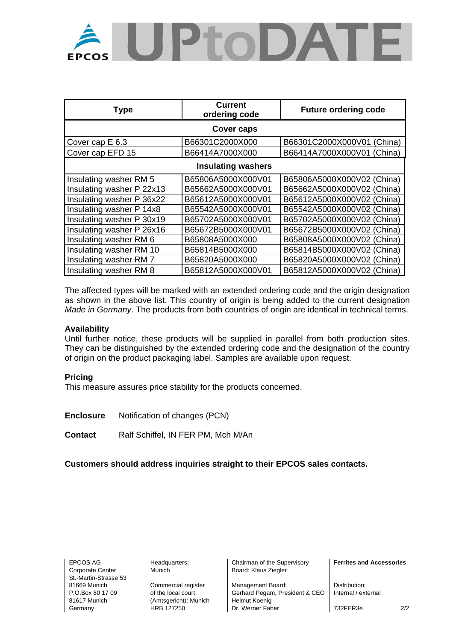

| <b>Type</b>               | <b>Current</b><br>ordering code | <b>Future ordering code</b> |  |  |  |  |  |  |
|---------------------------|---------------------------------|-----------------------------|--|--|--|--|--|--|
| Cover caps                |                                 |                             |  |  |  |  |  |  |
| Cover cap E 6.3           | B66301C2000X000                 | B66301C2000X000V01 (China)  |  |  |  |  |  |  |
| Cover cap EFD 15          | B66414A7000X000                 | B66414A7000X000V01 (China)  |  |  |  |  |  |  |
| <b>Insulating washers</b> |                                 |                             |  |  |  |  |  |  |
| Insulating washer RM 5    | B65806A5000X000V01              | B65806A5000X000V02 (China)  |  |  |  |  |  |  |
| Insulating washer P 22x13 | B65662A5000X000V01              | B65662A5000X000V02 (China)  |  |  |  |  |  |  |
| Insulating washer P 36x22 | B65612A5000X000V01              | B65612A5000X000V02 (China)  |  |  |  |  |  |  |
| Insulating washer P 14x8  | B65542A5000X000V01              | B65542A5000X000V02 (China)  |  |  |  |  |  |  |
| Insulating washer P 30x19 | B65702A5000X000V01              | B65702A5000X000V02 (China)  |  |  |  |  |  |  |
| Insulating washer P 26x16 | B65672B5000X000V01              | B65672B5000X000V02 (China)  |  |  |  |  |  |  |
| Insulating washer RM 6    | B65808A5000X000                 | B65808A5000X000V02 (China)  |  |  |  |  |  |  |
| Insulating washer RM 10   | B65814B5000X000                 | B65814B5000X000V02 (China)  |  |  |  |  |  |  |
| Insulating washer RM 7    | B65820A5000X000                 | B65820A5000X000V02 (China)  |  |  |  |  |  |  |
| Insulating washer RM 8    | B65812A5000X000V01              | B65812A5000X000V02 (China)  |  |  |  |  |  |  |

The affected types will be marked with an extended ordering code and the origin designation as shown in the above list. This country of origin is being added to the current designation *Made in Germany*. The products from both countries of origin are identical in technical terms.

### **Availability**

Until further notice, these products will be supplied in parallel from both production sites. They can be distinguished by the extended ordering code and the designation of the country of origin on the product packaging label. Samples are available upon request.

#### **Pricing**

This measure assures price stability for the products concerned.

**Enclosure** Notification of changes (PCN)

**Contact** Ralf Schiffel, IN FER PM, Mch M/An

**Customers should address inquiries straight to their EPCOS sales contacts.**

Corporate Center | Munich | Board: Klaus Ziegler St.-Martin-Strasse 53

81617 Munich (Amtsgericht): Munich Helmut Koenig<br>Germany HRB 127250 Dr. Werner Fab

EPCOS AG Headquarters: Chairman of the Supervisory **Ferrites and Accessories** 

81669 Munich Commercial register Management Board: Distribution: P.O.Box 80 17 09 of the local court Gerhard Pegam, President & CEO | Internal / external Germany **HRB 127250** Dr. Werner Faber 732FER3e 2/2